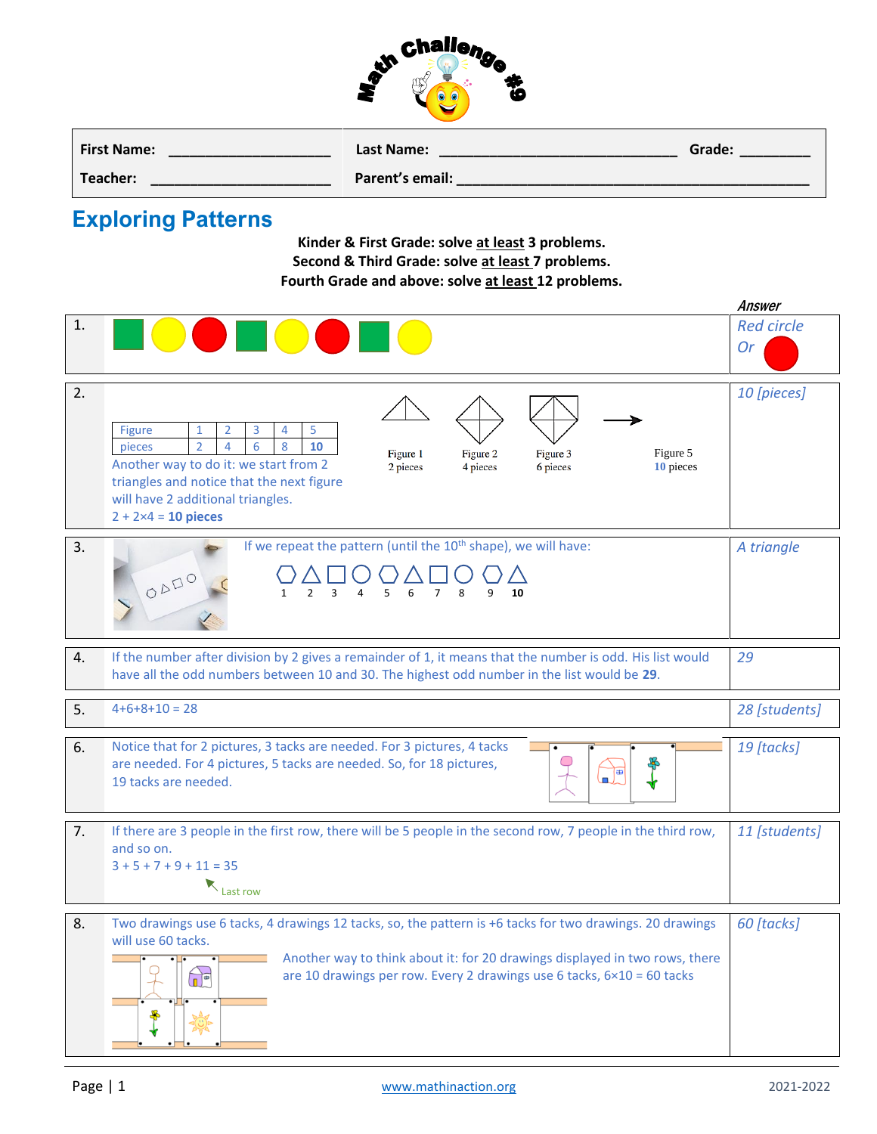

| <b>First Name:</b> | Last Name:      | Grade: |
|--------------------|-----------------|--------|
| Teacher:           | Parent's email: |        |

## **Exploring Patterns**

**Kinder & First Grade: solve at least 3 problems. Second & Third Grade: solve at least 7 problems. Fourth Grade and above: solve at least 12 problems.**

|    |                                                                                                                                                                                                                                                                                                                                              | Answer                         |  |  |  |  |
|----|----------------------------------------------------------------------------------------------------------------------------------------------------------------------------------------------------------------------------------------------------------------------------------------------------------------------------------------------|--------------------------------|--|--|--|--|
| 1. | <b>September</b>                                                                                                                                                                                                                                                                                                                             | <b>Red circle</b><br><b>Or</b> |  |  |  |  |
| 2. | Figure<br>3<br>5<br>2<br>4<br>1<br>$\overline{2}$<br>4<br>8<br>10<br>pieces<br>6<br>Figure 1<br>Figure 2<br>Figure 3<br>Figure 5<br>Another way to do it: we start from 2<br>2 pieces<br>4 pieces<br>6 pieces<br>10 pieces<br>triangles and notice that the next figure<br>will have 2 additional triangles.<br>$2 + 2 \times 4 = 10$ pieces | 10 [pieces]                    |  |  |  |  |
| 3. | If we repeat the pattern (until the 10 <sup>th</sup> shape), we will have:<br>ODDO<br>$\mathcal{P}$<br>$\overline{\mathbf{3}}$<br>5<br>$\overline{7}$<br>4<br>6<br>8<br>9<br>10<br>1                                                                                                                                                         | A triangle                     |  |  |  |  |
| 4. | If the number after division by 2 gives a remainder of 1, it means that the number is odd. His list would<br>have all the odd numbers between 10 and 30. The highest odd number in the list would be 29.                                                                                                                                     |                                |  |  |  |  |
| 5. | $4+6+8+10=28$                                                                                                                                                                                                                                                                                                                                | 28 [students]                  |  |  |  |  |
| 6. | Notice that for 2 pictures, 3 tacks are needed. For 3 pictures, 4 tacks<br>are needed. For 4 pictures, 5 tacks are needed. So, for 18 pictures,<br>L.<br>19 tacks are needed.                                                                                                                                                                |                                |  |  |  |  |
| 7. | If there are 3 people in the first row, there will be 5 people in the second row, 7 people in the third row,<br>and so on.<br>$3 + 5 + 7 + 9 + 11 = 35$<br>Last row                                                                                                                                                                          | 11 [students]                  |  |  |  |  |
| 8. | Two drawings use 6 tacks, 4 drawings 12 tacks, so, the pattern is +6 tacks for two drawings. 20 drawings<br>will use 60 tacks.<br>Another way to think about it: for 20 drawings displayed in two rows, there<br>are 10 drawings per row. Every 2 drawings use 6 tacks, $6 \times 10 = 60$ tacks<br>$\mathbb{R}^n$                           |                                |  |  |  |  |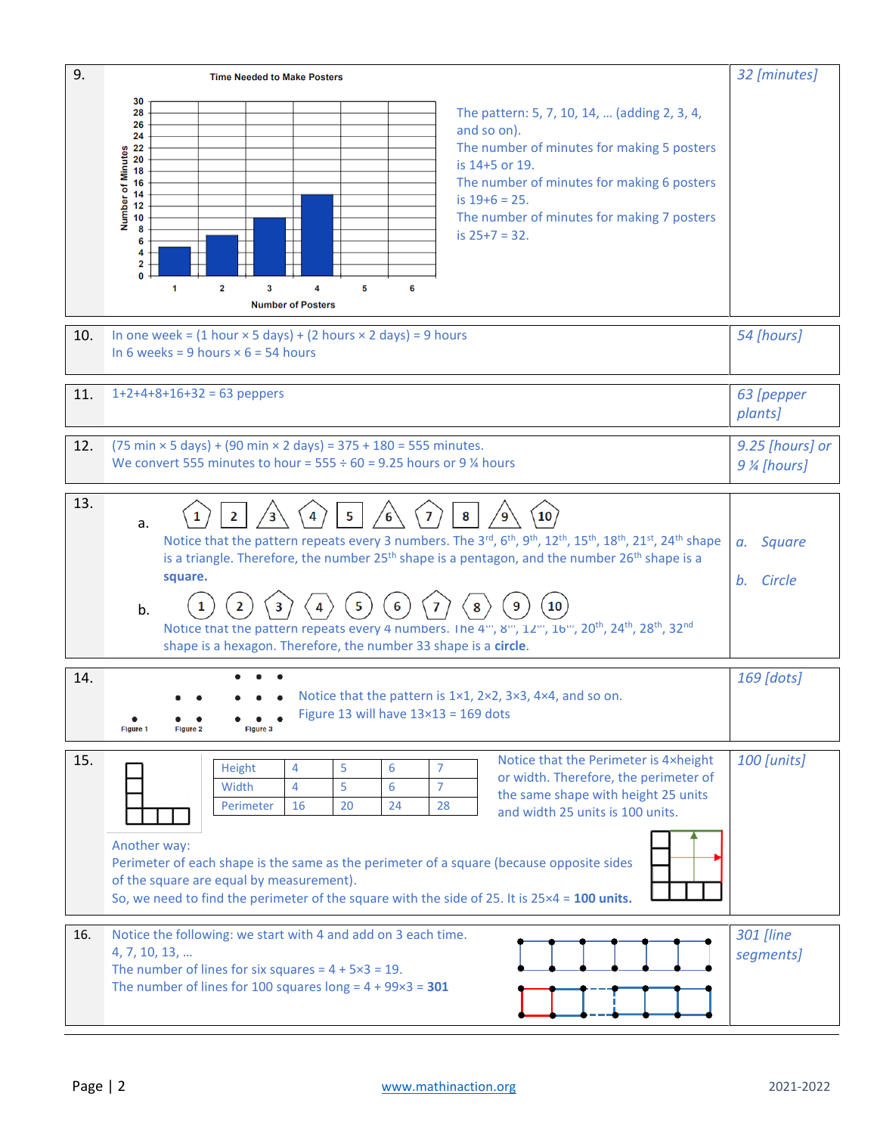